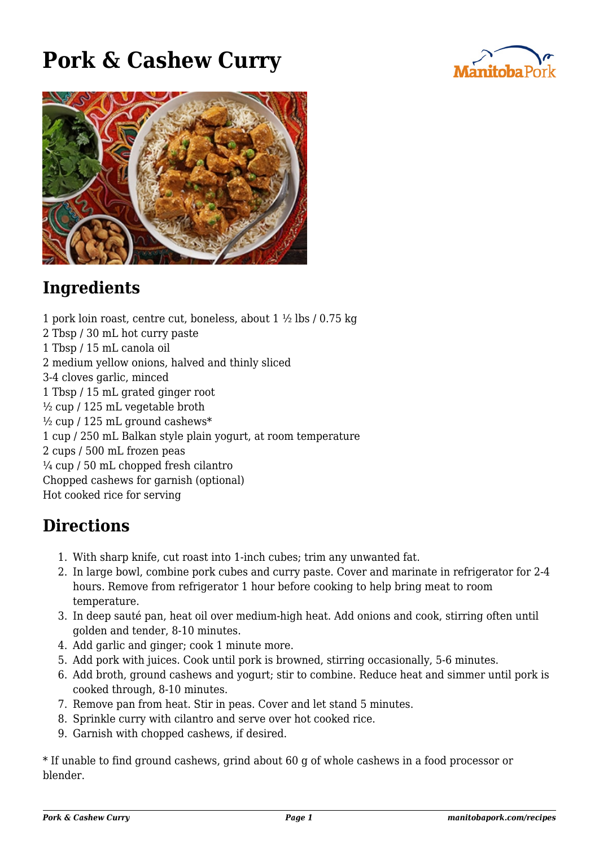## **Pork & Cashew Curry**





## **Ingredients**

1 pork loin roast, centre cut, boneless, about 1 ½ lbs / 0.75 kg 2 Tbsp / 30 mL hot curry paste 1 Tbsp / 15 mL canola oil 2 medium yellow onions, halved and thinly sliced 3-4 cloves garlic, minced 1 Tbsp / 15 mL grated ginger root ½ cup / 125 mL vegetable broth  $\frac{1}{2}$  cup / 125 mL ground cashews\* 1 cup / 250 mL Balkan style plain yogurt, at room temperature 2 cups / 500 mL frozen peas  $\frac{1}{4}$  cup / 50 mL chopped fresh cilantro Chopped cashews for garnish (optional) Hot cooked rice for serving

## **Directions**

- 1. With sharp knife, cut roast into 1-inch cubes; trim any unwanted fat.
- 2. In large bowl, combine pork cubes and curry paste. Cover and marinate in refrigerator for 2-4 hours. Remove from refrigerator 1 hour before cooking to help bring meat to room temperature.
- 3. In deep sauté pan, heat oil over medium-high heat. Add onions and cook, stirring often until golden and tender, 8-10 minutes.
- 4. Add garlic and ginger; cook 1 minute more.
- 5. Add pork with juices. Cook until pork is browned, stirring occasionally, 5-6 minutes.
- 6. Add broth, ground cashews and yogurt; stir to combine. Reduce heat and simmer until pork is cooked through, 8-10 minutes.
- 7. Remove pan from heat. Stir in peas. Cover and let stand 5 minutes.
- 8. Sprinkle curry with cilantro and serve over hot cooked rice.
- 9. Garnish with chopped cashews, if desired.

\* If unable to find ground cashews, grind about 60 g of whole cashews in a food processor or blender.